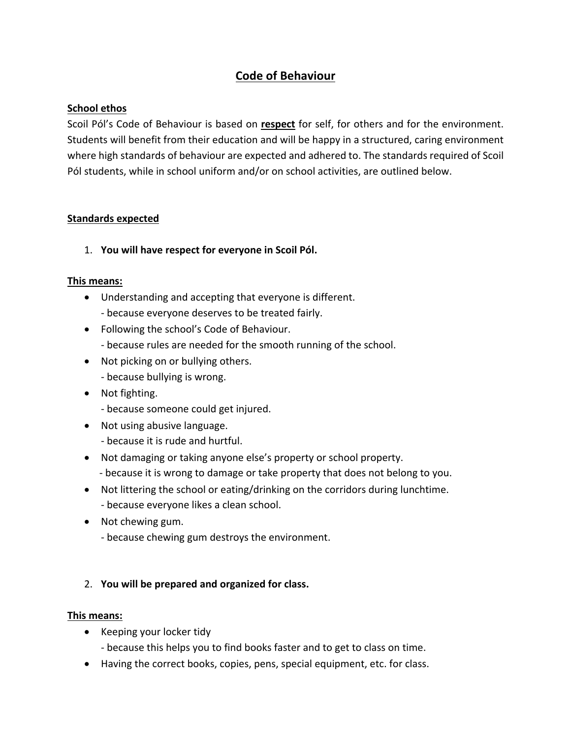# **Code of Behaviour**

# **School ethos**

Scoil Pól's Code of Behaviour is based on **respect** for self, for others and for the environment. Students will benefit from their education and will be happy in a structured, caring environment where high standards of behaviour are expected and adhered to. The standards required of Scoil Pól students, while in school uniform and/or on school activities, are outlined below.

### **Standards expected**

1. **You will have respect for everyone in Scoil Pól.**

### **This means:**

- Understanding and accepting that everyone is different.
	- because everyone deserves to be treated fairly.
- Following the school's Code of Behaviour.
	- because rules are needed for the smooth running of the school.
- Not picking on or bullying others.
	- because bullying is wrong.
- Not fighting.
	- because someone could get injured.
- Not using abusive language.
	- because it is rude and hurtful.
- Not damaging or taking anyone else's property or school property.
	- because it is wrong to damage or take property that does not belong to you.
- Not littering the school or eating/drinking on the corridors during lunchtime. - because everyone likes a clean school.
- Not chewing gum.
	- because chewing gum destroys the environment.

# 2. **You will be prepared and organized for class.**

#### **This means:**

- Keeping your locker tidy
	- because this helps you to find books faster and to get to class on time.
- Having the correct books, copies, pens, special equipment, etc. for class.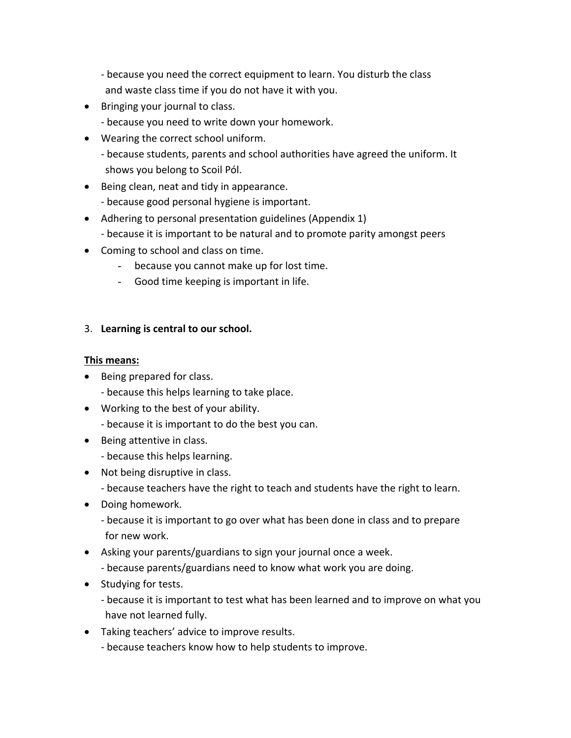- because you need the correct equipment to learn. You disturb the class and waste class time if you do not have it with you.
- Bringing your journal to class.
	- because you need to write down your homework.
- Wearing the correct school uniform.
	- because students, parents and school authorities have agreed the uniform. It shows you belong to Scoil Pól.
- Being clean, neat and tidy in appearance.
	- because good personal hygiene is important.
- Adhering to personal presentation guidelines (Appendix 1)
	- because it is important to be natural and to promote parity amongst peers
- Coming to school and class on time.
	- because you cannot make up for lost time.
	- Good time keeping is important in life.

# 3. **Learning is central to our school.**

### **This means:**

- Being prepared for class.
	- because this helps learning to take place.
- Working to the best of your ability.
	- because it is important to do the best you can.
- Being attentive in class.
	- because this helps learning.
- Not being disruptive in class.
	- because teachers have the right to teach and students have the right to learn.
- Doing homework.
	- because it is important to go over what has been done in class and to prepare for new work.
- Asking your parents/guardians to sign your journal once a week. - because parents/guardians need to know what work you are doing.
- Studying for tests.
	- because it is important to test what has been learned and to improve on what you have not learned fully.
- Taking teachers' advice to improve results.
	- because teachers know how to help students to improve.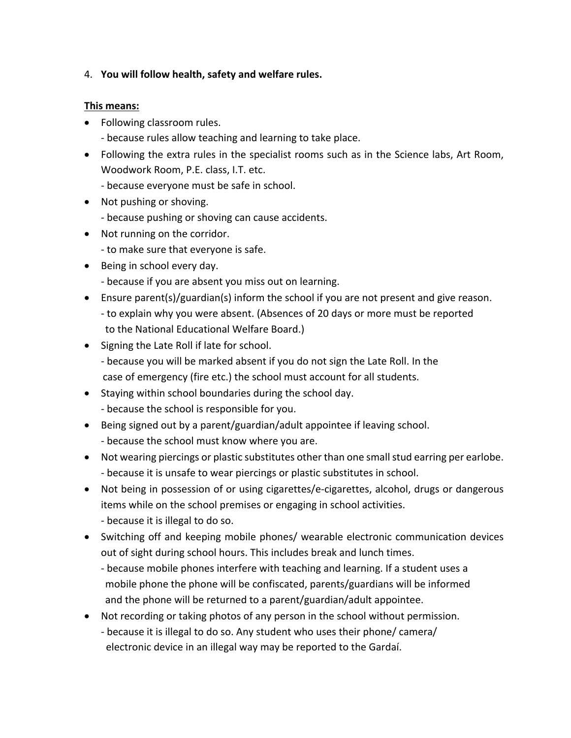# 4. **You will follow health, safety and welfare rules.**

#### **This means:**

- Following classroom rules.
	- because rules allow teaching and learning to take place.
- Following the extra rules in the specialist rooms such as in the Science labs, Art Room, Woodwork Room, P.E. class, I.T. etc.
	- because everyone must be safe in school.
- Not pushing or shoving.
	- because pushing or shoving can cause accidents.
- Not running on the corridor.
	- to make sure that everyone is safe.
- Being in school every day.
	- because if you are absent you miss out on learning.
- Ensure parent(s)/guardian(s) inform the school if you are not present and give reason. - to explain why you were absent. (Absences of 20 days or more must be reported to the National Educational Welfare Board.)
- Signing the Late Roll if late for school.
	- because you will be marked absent if you do not sign the Late Roll. In the case of emergency (fire etc.) the school must account for all students.
- Staying within school boundaries during the school day. - because the school is responsible for you.
- Being signed out by a parent/guardian/adult appointee if leaving school. - because the school must know where you are.
- Not wearing piercings or plastic substitutes other than one small stud earring per earlobe. - because it is unsafe to wear piercings or plastic substitutes in school.
- Not being in possession of or using cigarettes/e-cigarettes, alcohol, drugs or dangerous items while on the school premises or engaging in school activities.
	- because it is illegal to do so.
- Switching off and keeping mobile phones/ wearable electronic communication devices out of sight during school hours. This includes break and lunch times.
	- because mobile phones interfere with teaching and learning. If a student uses a mobile phone the phone will be confiscated, parents/guardians will be informed and the phone will be returned to a parent/guardian/adult appointee.
- Not recording or taking photos of any person in the school without permission. - because it is illegal to do so. Any student who uses their phone/ camera/ electronic device in an illegal way may be reported to the Gardaí.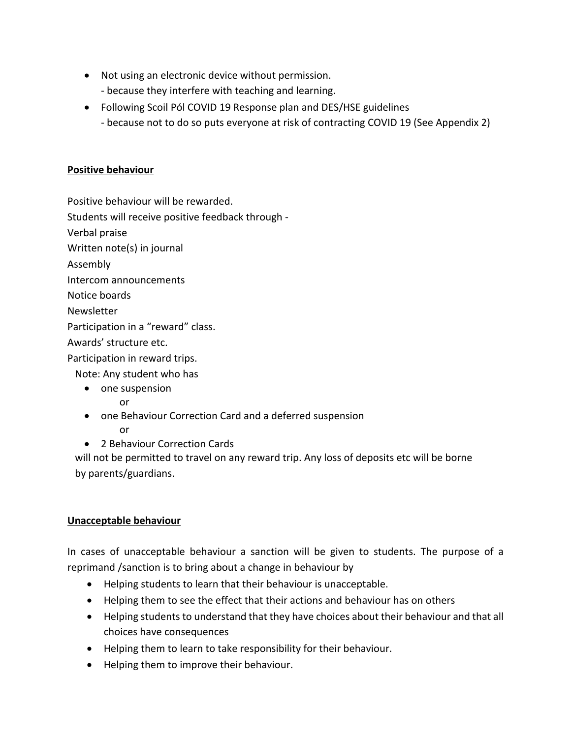- Not using an electronic device without permission. - because they interfere with teaching and learning.
- Following Scoil Pól COVID 19 Response plan and DES/HSE guidelines
	- because not to do so puts everyone at risk of contracting COVID 19 (See Appendix 2)

### **Positive behaviour**

Positive behaviour will be rewarded.

Students will receive positive feedback through -

Verbal praise

Written note(s) in journal

Assembly

Intercom announcements

Notice boards

Newsletter

Participation in a "reward" class.

Awards' structure etc.

Participation in reward trips.

Note: Any student who has

• one suspension

or

- one Behaviour Correction Card and a deferred suspension or
- 2 Behaviour Correction Cards

 will not be permitted to travel on any reward trip. Any loss of deposits etc will be borne by parents/guardians.

# **Unacceptable behaviour**

In cases of unacceptable behaviour a sanction will be given to students. The purpose of a reprimand /sanction is to bring about a change in behaviour by

- Helping students to learn that their behaviour is unacceptable.
- Helping them to see the effect that their actions and behaviour has on others
- Helping students to understand that they have choices about their behaviour and that all choices have consequences
- Helping them to learn to take responsibility for their behaviour.
- Helping them to improve their behaviour.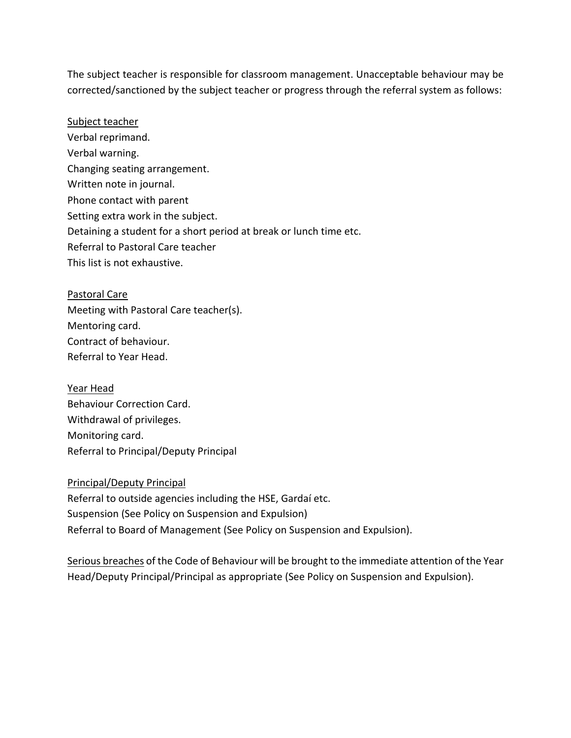The subject teacher is responsible for classroom management. Unacceptable behaviour may be corrected/sanctioned by the subject teacher or progress through the referral system as follows:

Subject teacher Verbal reprimand. Verbal warning. Changing seating arrangement. Written note in journal. Phone contact with parent Setting extra work in the subject. Detaining a student for a short period at break or lunch time etc. Referral to Pastoral Care teacher This list is not exhaustive.

Pastoral Care Meeting with Pastoral Care teacher(s). Mentoring card. Contract of behaviour. Referral to Year Head.

Year Head Behaviour Correction Card. Withdrawal of privileges. Monitoring card. Referral to Principal/Deputy Principal

Principal/Deputy Principal Referral to outside agencies including the HSE, Gardaí etc. Suspension (See Policy on Suspension and Expulsion) Referral to Board of Management (See Policy on Suspension and Expulsion).

Serious breaches of the Code of Behaviour will be brought to the immediate attention of the Year Head/Deputy Principal/Principal as appropriate (See Policy on Suspension and Expulsion).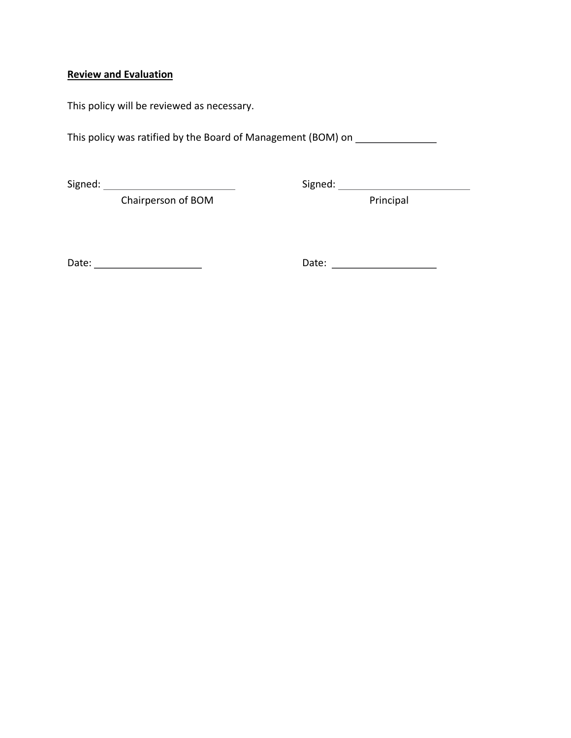# **Review and Evaluation**

This policy will be reviewed as necessary.

This policy was ratified by the Board of Management (BOM) on \_\_\_\_\_\_\_\_\_\_\_\_\_\_\_\_\_\_\_

Signed: Signed:

Chairperson of BOM Principal

Date: Date: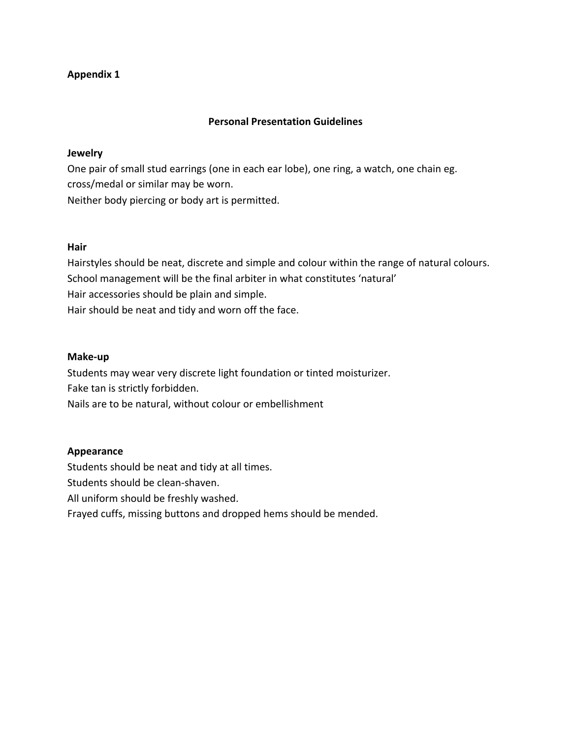## **Appendix 1**

#### **Personal Presentation Guidelines**

#### **Jewelry**

One pair of small stud earrings (one in each ear lobe), one ring, a watch, one chain eg. cross/medal or similar may be worn. Neither body piercing or body art is permitted.

#### **Hair**

Hairstyles should be neat, discrete and simple and colour within the range of natural colours. School management will be the final arbiter in what constitutes 'natural' Hair accessories should be plain and simple. Hair should be neat and tidy and worn off the face.

#### **Make-up**

Students may wear very discrete light foundation or tinted moisturizer. Fake tan is strictly forbidden. Nails are to be natural, without colour or embellishment

#### **Appearance**

Students should be neat and tidy at all times.

Students should be clean-shaven.

All uniform should be freshly washed.

Frayed cuffs, missing buttons and dropped hems should be mended.